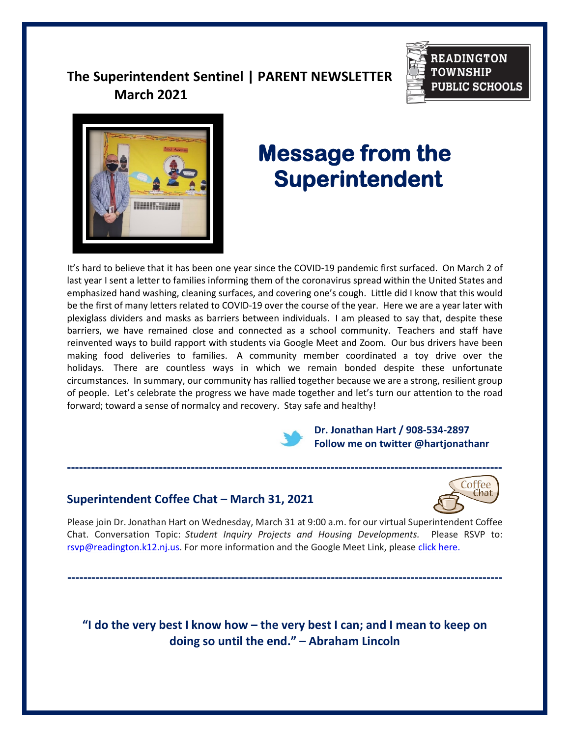# **The Superintendent Sentinel | PARENT NEWSLETTER March 2021**





# **Message from the Superintendent**

It's hard to believe that it has been one year since the COVID-19 pandemic first surfaced. On March 2 of last year I sent a letter to families informing them of the coronavirus spread within the United States and emphasized hand washing, cleaning surfaces, and covering one's cough. Little did I know that this would be the first of many letters related to COVID-19 over the course of the year. Here we are a year later with plexiglass dividers and masks as barriers between individuals. I am pleased to say that, despite these barriers, we have remained close and connected as a school community. Teachers and staff have reinvented ways to build rapport with students via Google Meet and Zoom. Our bus drivers have been making food deliveries to families. A community member coordinated a toy drive over the holidays. There are countless ways in which we remain bonded despite these unfortunate circumstances. In summary, our community has rallied together because we are a strong, resilient group of people. Let's celebrate the progress we have made together and let's turn our attention to the road forward; toward a sense of normalcy and recovery. Stay safe and healthy!

> **Dr. Jonathan Hart / 908-534-2897 Follow me on twitter @hartjonathanr**

# **Superintendent Coffee Chat – March 31, 2021**



Please join Dr. Jonathan Hart on Wednesday, March 31 at 9:00 a.m. for our virtual Superintendent Coffee Chat. Conversation Topic: *Student Inquiry Projects and Housing Developments.* Please RSVP to: [rsvp@readington.k12.nj.us.](mailto:rsvp@readington.k12.nj.us) For more information and the Google Meet Link, please [click here.](https://meet.google.com/uez-jphd-jre?authuser=0)

**-------------------------------------------------------------------------------------------------------------**

**"I do the very best I know how – the very best I can; and I mean to keep on doing so until the end." – Abraham Lincoln**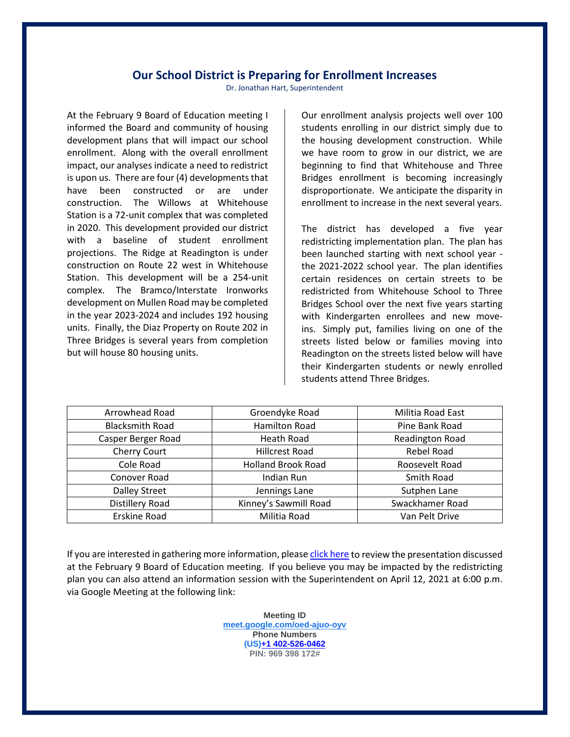## **Our School District is Preparing for Enrollment Increases**

Dr. Jonathan Hart, Superintendent

At the February 9 Board of Education meeting I informed the Board and community of housing development plans that will impact our school enrollment. Along with the overall enrollment impact, our analyses indicate a need to redistrict is upon us. There are four (4) developments that have been constructed or are under construction. The Willows at Whitehouse Station is a 72-unit complex that was completed in 2020. This development provided our district with a baseline of student enrollment projections. The Ridge at Readington is under construction on Route 22 west in Whitehouse Station. This development will be a 254-unit complex. The Bramco/Interstate Ironworks development on Mullen Road may be completed in the year 2023-2024 and includes 192 housing units. Finally, the Diaz Property on Route 202 in Three Bridges is several years from completion but will house 80 housing units.

Our enrollment analysis projects well over 100 students enrolling in our district simply due to the housing development construction. While we have room to grow in our district, we are beginning to find that Whitehouse and Three Bridges enrollment is becoming increasingly disproportionate. We anticipate the disparity in enrollment to increase in the next several years.

The district has developed a five year redistricting implementation plan. The plan has been launched starting with next school year the 2021-2022 school year. The plan identifies certain residences on certain streets to be redistricted from Whitehouse School to Three Bridges School over the next five years starting with Kindergarten enrollees and new moveins. Simply put, families living on one of the streets listed below or families moving into Readington on the streets listed below will have their Kindergarten students or newly enrolled students attend Three Bridges.

| Arrowhead Road         | Groendyke Road            | Militia Road East      |
|------------------------|---------------------------|------------------------|
| <b>Blacksmith Road</b> | <b>Hamilton Road</b>      | Pine Bank Road         |
| Casper Berger Road     | <b>Heath Road</b>         | <b>Readington Road</b> |
| Cherry Court           | <b>Hillcrest Road</b>     | <b>Rebel Road</b>      |
| Cole Road              | <b>Holland Brook Road</b> | Roosevelt Road         |
| Conover Road           | Indian Run                | Smith Road             |
| <b>Dalley Street</b>   | Jennings Lane             | Sutphen Lane           |
| Distillery Road        | Kinney's Sawmill Road     | Swackhamer Road        |
| <b>Erskine Road</b>    | Militia Road              | Van Pelt Drive         |

If you are interested in gathering more information, pleas[e click here](https://www.readington.k12.nj.us/cms/lib/NJ01000244/Centricity/Domain/46/Readington%20Township%20Housing%20Development%20Presentation%20-%20Feb%209%202021%20BOE%20Meeting.pdf) to review the presentation discussed at the February 9 Board of Education meeting. If you believe you may be impacted by the redistricting plan you can also attend an information session with the Superintendent on April 12, 2021 at 6:00 p.m. via Google Meeting at the following link:

> **Meeting ID [meet.google.com/oed-ajuo-oyv](https://meet.google.com/oed-ajuo-oyv?hs=122&authuser=0) Phone Numbers (US[\)+1 402-526-0462](tel:%E2%80%AA+1%20402-526-0462%E2%80%AC) PIN: 969 398 172#**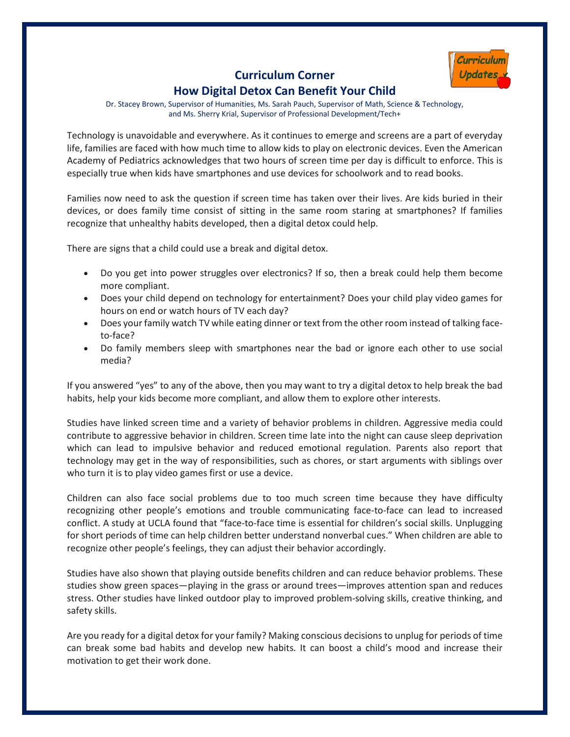

# **Curriculum Corner How Digital Detox Can Benefit Your Child**

Dr. Stacey Brown, Supervisor of Humanities, Ms. Sarah Pauch, Supervisor of Math, Science & Technology, and Ms. Sherry Krial, Supervisor of Professional Development/Tech+

Technology is unavoidable and everywhere. As it continues to emerge and screens are a part of everyday life, families are faced with how much time to allow kids to play on electronic devices. Even the American Academy of Pediatrics acknowledges that two hours of screen time per day is difficult to enforce. This is especially true when kids have smartphones and use devices for schoolwork and to read books.

Families now need to ask the question if screen time has taken over their lives. Are kids buried in their devices, or does family time consist of sitting in the same room staring at smartphones? If families recognize that unhealthy habits developed, then a digital detox could help.

There are signs that a child could use a break and digital detox.

- Do you get into power struggles over electronics? If so, then a break could help them become more compliant.
- Does your child depend on technology for entertainment? Does your child play video games for hours on end or watch hours of TV each day?
- Does your family watch TV while eating dinner or text from the other room instead of talking faceto-face?
- Do family members sleep with smartphones near the bad or ignore each other to use social media?

If you answered "yes" to any of the above, then you may want to try a digital detox to help break the bad habits, help your kids become more compliant, and allow them to explore other interests.

Studies have linked screen time and a variety of behavior problems in children. Aggressive media could contribute to aggressive behavior in children. Screen time late into the night can cause sleep deprivation which can lead to impulsive behavior and reduced emotional regulation. Parents also report that technology may get in the way of responsibilities, such as chores, or start arguments with siblings over who turn it is to play video games first or use a device.

Children can also face social problems due to too much screen time because they have difficulty recognizing other people's emotions and trouble communicating face-to-face can lead to increased conflict. A study at UCLA found that "face-to-face time is essential for children's social skills. Unplugging for short periods of time can help children better understand nonverbal cues." When children are able to recognize other people's feelings, they can adjust their behavior accordingly.

Studies have also shown that playing outside benefits children and can reduce behavior problems. These studies show green spaces—playing in the grass or around trees—improves attention span and reduces stress. Other studies have linked outdoor play to improved problem-solving skills, creative thinking, and safety skills.

Are you ready for a digital detox for your family? Making conscious decisions to unplug for periods of time can break some bad habits and develop new habits. It can boost a child's mood and increase their motivation to get their work done.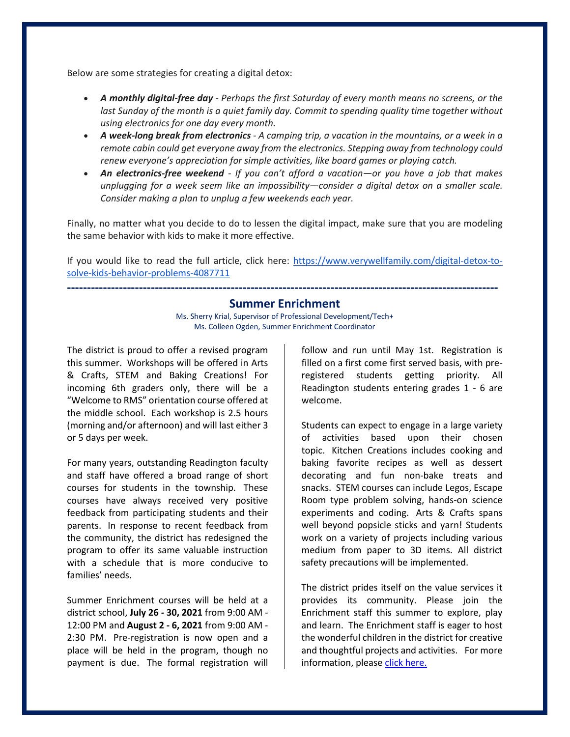Below are some strategies for creating a digital detox:

- *A monthly digital-free day - Perhaps the first Saturday of every month means no screens, or the*  last Sunday of the month is a quiet family day. Commit to spending quality time together without *using electronics for one day every month.*
- *A week-long break from electronics - A camping trip, a vacation in the mountains, or a week in a remote cabin could get everyone away from the electronics. Stepping away from technology could renew everyone's appreciation for simple activities, like board games or playing catch.*
- *An electronics-free weekend - If you can't afford a vacation—or you have a job that makes unplugging for a week seem like an impossibility—consider a digital detox on a smaller scale. Consider making a plan to unplug a few weekends each year.*

Finally, no matter what you decide to do to lessen the digital impact, make sure that you are modeling the same behavior with kids to make it more effective.

If you would like to read the full article, click here: [https://www.verywellfamily.com/digital-detox-to](https://www.verywellfamily.com/digital-detox-to-solve-kids-behavior-problems-4087711)[solve-kids-behavior-problems-4087711](https://www.verywellfamily.com/digital-detox-to-solve-kids-behavior-problems-4087711)

**------------------------------------------------------------------------------------------------------------**

## **Summer Enrichment**

Ms. Sherry Krial, Supervisor of Professional Development/Tech+ Ms. Colleen Ogden, Summer Enrichment Coordinator

The district is proud to offer a revised program this summer. Workshops will be offered in Arts & Crafts, STEM and Baking Creations! For incoming 6th graders only, there will be a "Welcome to RMS" orientation course offered at the middle school. Each workshop is 2.5 hours (morning and/or afternoon) and will last either 3 or 5 days per week.

For many years, outstanding Readington faculty and staff have offered a broad range of short courses for students in the township. These courses have always received very positive feedback from participating students and their parents. In response to recent feedback from the community, the district has redesigned the program to offer its same valuable instruction with a schedule that is more conducive to families' needs.

Summer Enrichment courses will be held at a district school, **July 26 - 30, 2021** from 9:00 AM - 12:00 PM and **August 2 - 6, 2021** from 9:00 AM - 2:30 PM. Pre-registration is now open and a place will be held in the program, though no payment is due. The formal registration will

follow and run until May 1st. Registration is filled on a first come first served basis, with preregistered students getting priority. All Readington students entering grades 1 - 6 are welcome.

Students can expect to engage in a large variety of activities based upon their chosen topic. Kitchen Creations includes cooking and baking favorite recipes as well as dessert decorating and fun non-bake treats and snacks. STEM courses can include Legos, Escape Room type problem solving, hands-on science experiments and coding. Arts & Crafts spans well beyond popsicle sticks and yarn! Students work on a variety of projects including various medium from paper to 3D items. All district safety precautions will be implemented.

The district prides itself on the value services it provides its community. Please join the Enrichment staff this summer to explore, play and learn. The Enrichment staff is eager to host the wonderful children in the district for creative and thoughtful projects and activities. For more information, pleas[e click here.](https://sites.google.com/readington.k12.nj.us/summer-enrichment/home)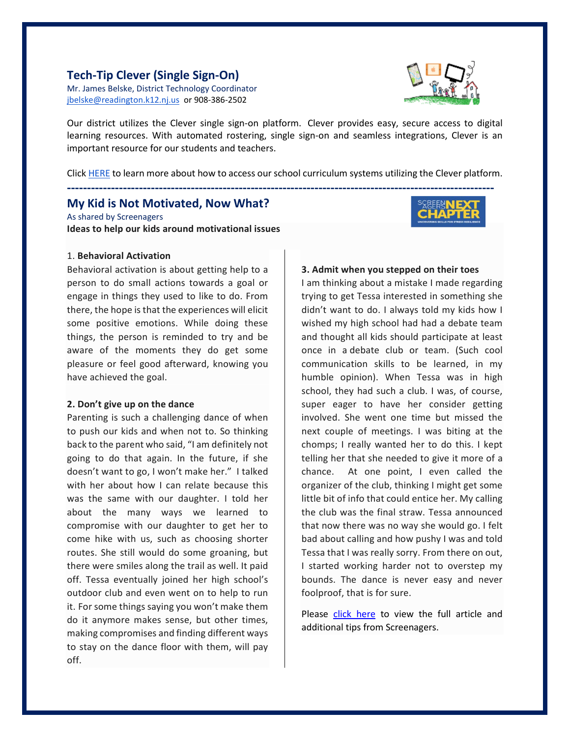## **Tech-Tip Clever (Single Sign-On)**

Mr. James Belske, District Technology Coordinator [jbelske@readington.k12.nj.us](mailto:jbelske@readington.k12.nj.us) or 908-386-2502



Our district utilizes the Clever single sign-on platform. Clever provides easy, secure access to digital learning resources. With automated rostering, single sign-on and seamless integrations, Clever is an important resource for our students and teachers.

Click [HERE](https://sites.google.com/readington.k12.nj.us/i-ready-via-clever/home) to learn more about how to access our school curriculum systems utilizing the Clever platform.

**-----------------------------------------------------------------------------------------------------------**

## **My Kid is Not Motivated, Now What?**

As shared by Screenagers **Ideas to help our kids around motivational issues**

#### 1. **Behavioral Activation**

Behavioral activation is about getting help to a person to do small actions towards a goal or engage in things they used to like to do. From there, the hope is that the experiences will elicit some positive emotions. While doing these things, the person is reminded to try and be aware of the moments they do get some pleasure or feel good afterward, knowing you have achieved the goal.

#### **2. Don't give up on the dance**

Parenting is such a challenging dance of when to push our kids and when not to. So thinking back to the parent who said, "I am definitely not going to do that again. In the future, if she doesn't want to go, I won't make her." I talked with her about how I can relate because this was the same with our daughter. I told her about the many ways we learned to compromise with our daughter to get her to come hike with us, such as choosing shorter routes. She still would do some groaning, but there were smiles along the trail as well. It paid off. Tessa eventually joined her high school's outdoor club and even went on to help to run it. For some things saying you won't make them do it anymore makes sense, but other times, making compromises and finding different ways to stay on the dance floor with them, will pay off.

### **3. Admit when you stepped on their toes**

I am thinking about a mistake I made regarding trying to get Tessa interested in something she didn't want to do. I always told my kids how I wished my high school had had a debate team and thought all kids should participate at least once in a debate club or team. (Such cool communication skills to be learned, in my humble opinion). When Tessa was in high school, they had such a club. I was, of course, super eager to have her consider getting involved. She went one time but missed the next couple of meetings. I was biting at the chomps; I really wanted her to do this. I kept telling her that she needed to give it more of a chance. At one point, I even called the organizer of the club, thinking I might get some little bit of info that could entice her. My calling the club was the final straw. Tessa announced that now there was no way she would go. I felt bad about calling and how pushy I was and told Tessa that I was really sorry. From there on out, I started working harder not to overstep my bounds. The dance is never easy and never foolproof, that is for sure.

Please [click here](https://www.screenagersmovie.com/tech-talk-tuesdays/my-kids-not-motivated-now-what) to view the full article and additional tips from Screenagers.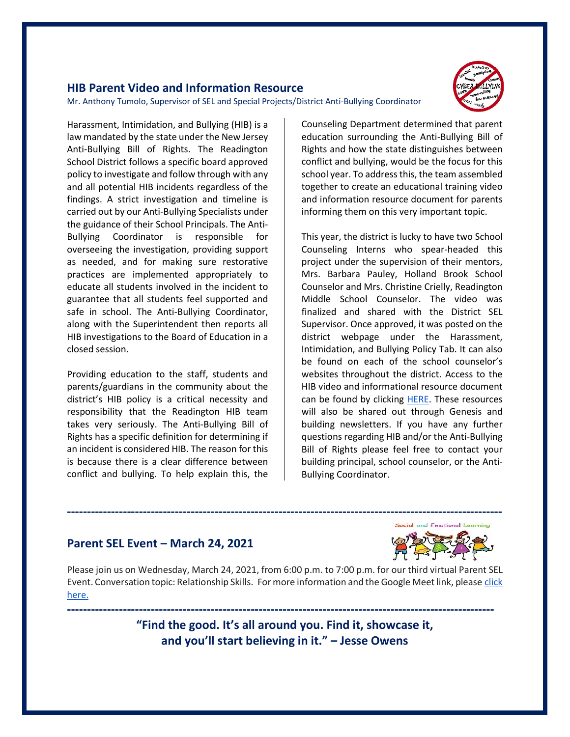## **HIB Parent Video and Information Resource**

Mr. Anthony Tumolo, Supervisor of SEL and Special Projects/District Anti-Bullying Coordinator



Harassment, Intimidation, and Bullying (HIB) is a law mandated by the state under the New Jersey Anti-Bullying Bill of Rights. The Readington School District follows a specific board approved policy to investigate and follow through with any and all potential HIB incidents regardless of the findings. A strict investigation and timeline is carried out by our Anti-Bullying Specialists under the guidance of their School Principals. The Anti-Bullying Coordinator is responsible for overseeing the investigation, providing support as needed, and for making sure restorative practices are implemented appropriately to educate all students involved in the incident to guarantee that all students feel supported and safe in school. The Anti-Bullying Coordinator, along with the Superintendent then reports all HIB investigations to the Board of Education in a closed session.

Providing education to the staff, students and parents/guardians in the community about the district's HIB policy is a critical necessity and responsibility that the Readington HIB team takes very seriously. The Anti-Bullying Bill of Rights has a specific definition for determining if an incident is considered HIB. The reason for this is because there is a clear difference between conflict and bullying. To help explain this, the

Counseling Department determined that parent education surrounding the Anti-Bullying Bill of Rights and how the state distinguishes between conflict and bullying, would be the focus for this school year. To address this, the team assembled together to create an educational training video and information resource document for parents informing them on this very important topic.

This year, the district is lucky to have two School Counseling Interns who spear-headed this project under the supervision of their mentors, Mrs. Barbara Pauley, Holland Brook School Counselor and Mrs. Christine Crielly, Readington Middle School Counselor. The video was finalized and shared with the District SEL Supervisor. Once approved, it was posted on the district webpage under the Harassment, Intimidation, and Bullying Policy Tab. It can also be found on each of the school counselor's websites throughout the district. Access to the HIB video and informational resource document can be found by clicking [HERE.](https://www.readington.k12.nj.us/site/Default.aspx?PageID=355) These resources will also be shared out through Genesis and building newsletters. If you have any further questions regarding HIB and/or the Anti-Bullying Bill of Rights please feel free to contact your building principal, school counselor, or the Anti-Bullying Coordinator.

## **Parent SEL Event – March 24, 2021**



Please join us on Wednesday, March 24, 2021, from 6:00 p.m. to 7:00 p.m. for our third virtual Parent SEL Event. Conversation topic: Relationship Skills. For more information and the Google Meet link, please click [here.](https://www.readington.k12.nj.us/Page/7063)

> **"Find the good. It's all around you. Find it, showcase it, and you'll start believing in it." – Jesse Owens**

**-----------------------------------------------------------------------------------------------------------**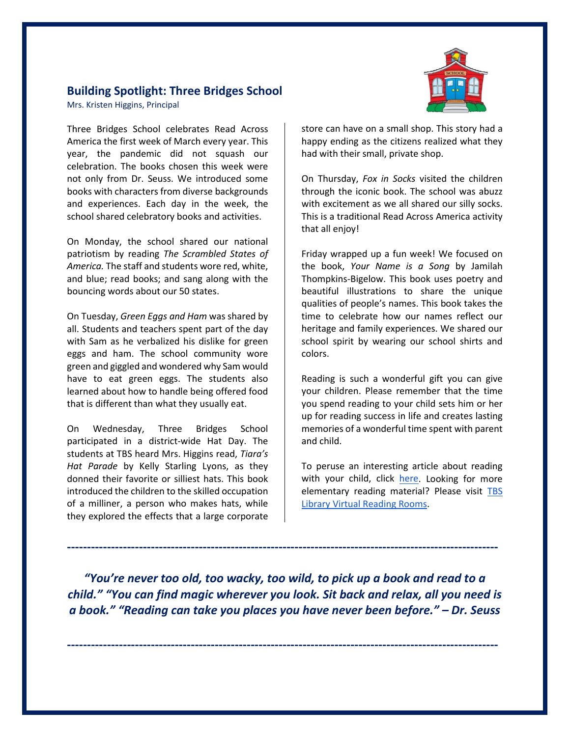## **Building Spotlight: Three Bridges School**

Mrs. Kristen Higgins, Principal

Three Bridges School celebrates Read Across America the first week of March every year. This year, the pandemic did not squash our celebration. The books chosen this week were not only from Dr. Seuss. We introduced some books with characters from diverse backgrounds and experiences. Each day in the week, the school shared celebratory books and activities.

On Monday, the school shared our national patriotism by reading *The Scrambled States of America.* The staff and students wore red, white, and blue; read books; and sang along with the bouncing words about our 50 states.

On Tuesday, *Green Eggs and Ham* was shared by all. Students and teachers spent part of the day with Sam as he verbalized his dislike for green eggs and ham. The school community wore green and giggled and wondered why Sam would have to eat green eggs. The students also learned about how to handle being offered food that is different than what they usually eat.

On Wednesday, Three Bridges School participated in a district-wide Hat Day. The students at TBS heard Mrs. Higgins read, *Tiara's Hat Parade* by Kelly Starling Lyons, as they donned their favorite or silliest hats. This book introduced the children to the skilled occupation of a milliner, a person who makes hats, while they explored the effects that a large corporate



store can have on a small shop. This story had a happy ending as the citizens realized what they had with their small, private shop.

On Thursday, *Fox in Socks* visited the children through the iconic book. The school was abuzz with excitement as we all shared our silly socks. This is a traditional Read Across America activity that all enjoy!

Friday wrapped up a fun week! We focused on the book, *Your Name is a Song* by Jamilah Thompkins-Bigelow. This book uses poetry and beautiful illustrations to share the unique qualities of people's names. This book takes the time to celebrate how our names reflect our heritage and family experiences. We shared our school spirit by wearing our school shirts and colors.

Reading is such a wonderful gift you can give your children. Please remember that the time you spend reading to your child sets him or her up for reading success in life and creates lasting memories of a wonderful time spent with parent and child.

To peruse an interesting article about reading with your child, click [here.](https://www.readingrockets.org/article/reading-your-child) Looking for more elementary reading material? Please visit TBS [Library Virtual Reading Rooms.](https://sites.google.com/readington.k12.nj.us/tbslibrarymediacenter/virtual-reading-rooms?authuser=0)

*"You're never too old, too wacky, too wild, to pick up a book and read to a child." "You can find magic wherever you look. Sit back and relax, all you need is a book." "Reading can take you places you have never been before." – Dr. Seuss*

**------------------------------------------------------------------------------------------------------------**

**------------------------------------------------------------------------------------------------------------**